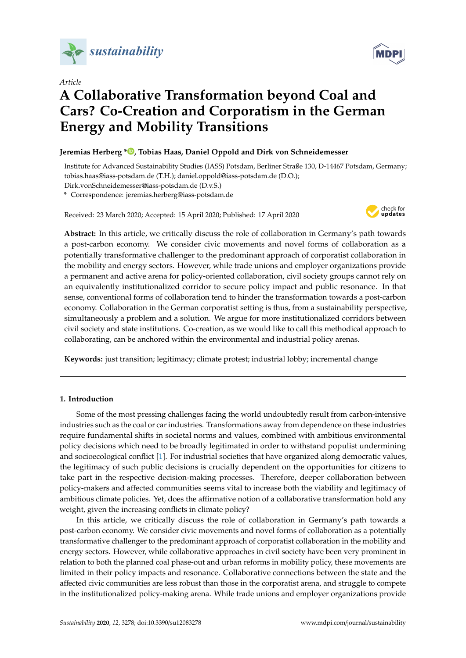

*Article*

# **A Collaborative Transformation beyond Coal and Cars? Co-Creation and Corporatism in the German Energy and Mobility Transitions**

# **Jeremias Herberg \* [,](https://orcid.org/0000-0003-4388-796X) Tobias Haas, Daniel Oppold and Dirk von Schneidemesser**

Institute for Advanced Sustainability Studies (IASS) Potsdam, Berliner Straße 130, D-14467 Potsdam, Germany; tobias.haas@iass-potsdam.de (T.H.); daniel.oppold@iass-potsdam.de (D.O.); Dirk.vonSchneidemesser@iass-potsdam.de (D.v.S.)

**\*** Correspondence: jeremias.herberg@iass-potsdam.de

Received: 23 March 2020; Accepted: 15 April 2020; Published: 17 April 2020



**Abstract:** In this article, we critically discuss the role of collaboration in Germany's path towards a post-carbon economy. We consider civic movements and novel forms of collaboration as a potentially transformative challenger to the predominant approach of corporatist collaboration in the mobility and energy sectors. However, while trade unions and employer organizations provide a permanent and active arena for policy-oriented collaboration, civil society groups cannot rely on an equivalently institutionalized corridor to secure policy impact and public resonance. In that sense, conventional forms of collaboration tend to hinder the transformation towards a post-carbon economy. Collaboration in the German corporatist setting is thus, from a sustainability perspective, simultaneously a problem and a solution. We argue for more institutionalized corridors between civil society and state institutions. Co-creation, as we would like to call this methodical approach to collaborating, can be anchored within the environmental and industrial policy arenas.

**Keywords:** just transition; legitimacy; climate protest; industrial lobby; incremental change

## **1. Introduction**

Some of the most pressing challenges facing the world undoubtedly result from carbon-intensive industries such as the coal or car industries. Transformations away from dependence on these industries require fundamental shifts in societal norms and values, combined with ambitious environmental policy decisions which need to be broadly legitimated in order to withstand populist undermining and socioecological conflict [\[1\]](#page-16-0). For industrial societies that have organized along democratic values, the legitimacy of such public decisions is crucially dependent on the opportunities for citizens to take part in the respective decision-making processes. Therefore, deeper collaboration between policy-makers and affected communities seems vital to increase both the viability and legitimacy of ambitious climate policies. Yet, does the affirmative notion of a collaborative transformation hold any weight, given the increasing conflicts in climate policy?

In this article, we critically discuss the role of collaboration in Germany's path towards a post-carbon economy. We consider civic movements and novel forms of collaboration as a potentially transformative challenger to the predominant approach of corporatist collaboration in the mobility and energy sectors. However, while collaborative approaches in civil society have been very prominent in relation to both the planned coal phase-out and urban reforms in mobility policy, these movements are limited in their policy impacts and resonance. Collaborative connections between the state and the affected civic communities are less robust than those in the corporatist arena, and struggle to compete in the institutionalized policy-making arena. While trade unions and employer organizations provide

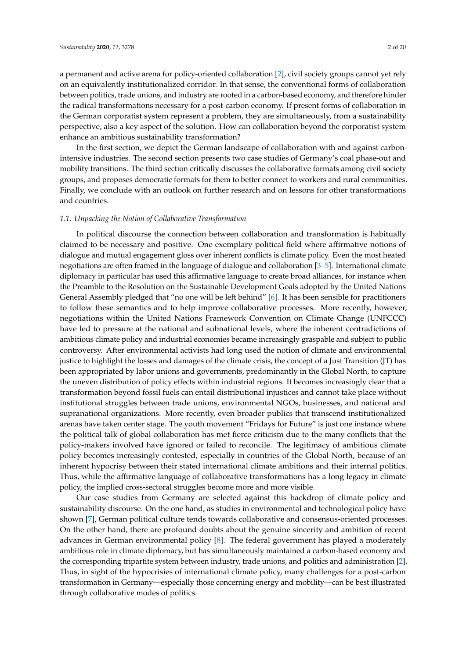a permanent and active arena for policy-oriented collaboration [\[2\]](#page-16-1), civil society groups cannot yet rely on an equivalently institutionalized corridor. In that sense, the conventional forms of collaboration between politics, trade unions, and industry are rooted in a carbon-based economy, and therefore hinder the radical transformations necessary for a post-carbon economy. If present forms of collaboration in the German corporatist system represent a problem, they are simultaneously, from a sustainability perspective, also a key aspect of the solution. How can collaboration beyond the corporatist system enhance an ambitious sustainability transformation?

In the first section, we depict the German landscape of collaboration with and against carbonintensive industries. The second section presents two case studies of Germany's coal phase-out and mobility transitions. The third section critically discusses the collaborative formats among civil society groups, and proposes democratic formats for them to better connect to workers and rural communities. Finally, we conclude with an outlook on further research and on lessons for other transformations and countries.

#### *1.1. Unpacking the Notion of Collaborative Transformation*

In political discourse the connection between collaboration and transformation is habitually claimed to be necessary and positive. One exemplary political field where affirmative notions of dialogue and mutual engagement gloss over inherent conflicts is climate policy. Even the most heated negotiations are often framed in the language of dialogue and collaboration [\[3](#page-16-2)[–5\]](#page-16-3). International climate diplomacy in particular has used this affirmative language to create broad alliances, for instance when the Preamble to the Resolution on the Sustainable Development Goals adopted by the United Nations General Assembly pledged that "no one will be left behind" [\[6\]](#page-16-4). It has been sensible for practitioners to follow these semantics and to help improve collaborative processes. More recently, however, negotiations within the United Nations Framework Convention on Climate Change (UNFCCC) have led to pressure at the national and subnational levels, where the inherent contradictions of ambitious climate policy and industrial economies became increasingly graspable and subject to public controversy. After environmental activists had long used the notion of climate and environmental justice to highlight the losses and damages of the climate crisis, the concept of a Just Transition (JT) has been appropriated by labor unions and governments, predominantly in the Global North, to capture the uneven distribution of policy effects within industrial regions. It becomes increasingly clear that a transformation beyond fossil fuels can entail distributional injustices and cannot take place without institutional struggles between trade unions, environmental NGOs, businesses, and national and supranational organizations. More recently, even broader publics that transcend institutionalized arenas have taken center stage. The youth movement "Fridays for Future" is just one instance where the political talk of global collaboration has met fierce criticism due to the many conflicts that the policy-makers involved have ignored or failed to reconcile. The legitimacy of ambitious climate policy becomes increasingly contested, especially in countries of the Global North, because of an inherent hypocrisy between their stated international climate ambitions and their internal politics. Thus, while the affirmative language of collaborative transformations has a long legacy in climate policy, the implied cross-sectoral struggles become more and more visible.

Our case studies from Germany are selected against this backdrop of climate policy and sustainability discourse. On the one hand, as studies in environmental and technological policy have shown [\[7\]](#page-16-5), German political culture tends towards collaborative and consensus-oriented processes. On the other hand, there are profound doubts about the genuine sincerity and ambition of recent advances in German environmental policy [\[8\]](#page-16-6). The federal government has played a moderately ambitious role in climate diplomacy, but has simultaneously maintained a carbon-based economy and the corresponding tripartite system between industry, trade unions, and politics and administration [\[2\]](#page-16-1). Thus, in sight of the hypocrisies of international climate policy, many challenges for a post-carbon transformation in Germany—especially those concerning energy and mobility—can be best illustrated through collaborative modes of politics.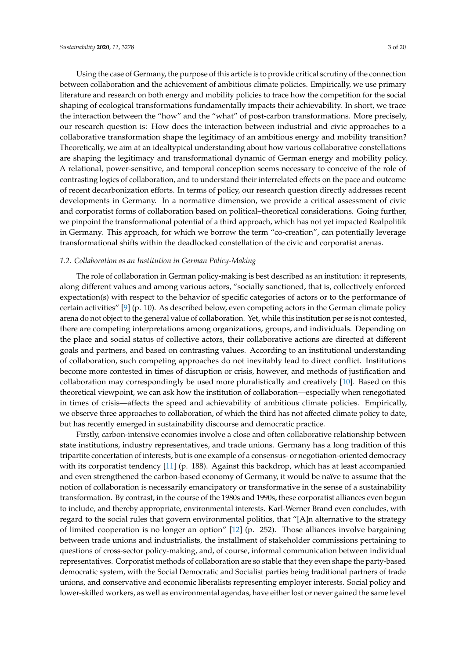Using the case of Germany, the purpose of this article is to provide critical scrutiny of the connection between collaboration and the achievement of ambitious climate policies. Empirically, we use primary literature and research on both energy and mobility policies to trace how the competition for the social shaping of ecological transformations fundamentally impacts their achievability. In short, we trace the interaction between the "how" and the "what" of post-carbon transformations. More precisely, our research question is: How does the interaction between industrial and civic approaches to a collaborative transformation shape the legitimacy of an ambitious energy and mobility transition? Theoretically, we aim at an idealtypical understanding about how various collaborative constellations are shaping the legitimacy and transformational dynamic of German energy and mobility policy. A relational, power-sensitive, and temporal conception seems necessary to conceive of the role of contrasting logics of collaboration, and to understand their interrelated effects on the pace and outcome of recent decarbonization efforts. In terms of policy, our research question directly addresses recent developments in Germany. In a normative dimension, we provide a critical assessment of civic and corporatist forms of collaboration based on political–theoretical considerations. Going further, we pinpoint the transformational potential of a third approach, which has not yet impacted Realpolitik in Germany. This approach, for which we borrow the term "co-creation", can potentially leverage transformational shifts within the deadlocked constellation of the civic and corporatist arenas.

## *1.2. Collaboration as an Institution in German Policy-Making*

The role of collaboration in German policy-making is best described as an institution: it represents, along different values and among various actors, "socially sanctioned, that is, collectively enforced expectation(s) with respect to the behavior of specific categories of actors or to the performance of certain activities" [\[9\]](#page-16-7) (p. 10). As described below, even competing actors in the German climate policy arena do not object to the general value of collaboration. Yet, while this institution per se is not contested, there are competing interpretations among organizations, groups, and individuals. Depending on the place and social status of collective actors, their collaborative actions are directed at different goals and partners, and based on contrasting values. According to an institutional understanding of collaboration, such competing approaches do not inevitably lead to direct conflict. Institutions become more contested in times of disruption or crisis, however, and methods of justification and collaboration may correspondingly be used more pluralistically and creatively [\[10\]](#page-16-8). Based on this theoretical viewpoint, we can ask how the institution of collaboration—especially when renegotiated in times of crisis—affects the speed and achievability of ambitious climate policies. Empirically, we observe three approaches to collaboration, of which the third has not affected climate policy to date, but has recently emerged in sustainability discourse and democratic practice.

Firstly, carbon-intensive economies involve a close and often collaborative relationship between state institutions, industry representatives, and trade unions. Germany has a long tradition of this tripartite concertation of interests, but is one example of a consensus- or negotiation-oriented democracy with its corporatist tendency [\[11\]](#page-16-9) (p. 188). Against this backdrop, which has at least accompanied and even strengthened the carbon-based economy of Germany, it would be naïve to assume that the notion of collaboration is necessarily emancipatory or transformative in the sense of a sustainability transformation. By contrast, in the course of the 1980s and 1990s, these corporatist alliances even begun to include, and thereby appropriate, environmental interests. Karl-Werner Brand even concludes, with regard to the social rules that govern environmental politics, that "[A]n alternative to the strategy of limited cooperation is no longer an option" [\[12\]](#page-17-0) (p. 252). Those alliances involve bargaining between trade unions and industrialists, the installment of stakeholder commissions pertaining to questions of cross-sector policy-making, and, of course, informal communication between individual representatives. Corporatist methods of collaboration are so stable that they even shape the party-based democratic system, with the Social Democratic and Socialist parties being traditional partners of trade unions, and conservative and economic liberalists representing employer interests. Social policy and lower-skilled workers, as well as environmental agendas, have either lost or never gained the same level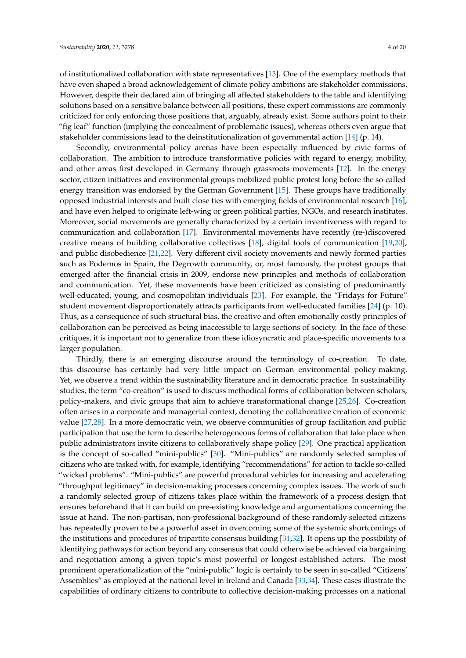of institutionalized collaboration with state representatives [\[13\]](#page-17-1). One of the exemplary methods that have even shaped a broad acknowledgement of climate policy ambitions are stakeholder commissions. However, despite their declared aim of bringing all affected stakeholders to the table and identifying solutions based on a sensitive balance between all positions, these expert commissions are commonly criticized for only enforcing those positions that, arguably, already exist. Some authors point to their "fig leaf" function (implying the concealment of problematic issues), whereas others even argue that stakeholder commissions lead to the deinstitutionalization of governmental action [\[14\]](#page-17-2) (p. 14).

Secondly, environmental policy arenas have been especially influenced by civic forms of collaboration. The ambition to introduce transformative policies with regard to energy, mobility, and other areas first developed in Germany through grassroots movements [\[12\]](#page-17-0). In the energy sector, citizen initiatives and environmental groups mobilized public protest long before the so-called energy transition was endorsed by the German Government [\[15\]](#page-17-3). These groups have traditionally opposed industrial interests and built close ties with emerging fields of environmental research [\[16\]](#page-17-4), and have even helped to originate left-wing or green political parties, NGOs, and research institutes. Moreover, social movements are generally characterized by a certain inventiveness with regard to communication and collaboration [\[17\]](#page-17-5). Environmental movements have recently (re-)discovered creative means of building collaborative collectives [\[18\]](#page-17-6), digital tools of communication [\[19,](#page-17-7)[20\]](#page-17-8), and public disobedience [\[21,](#page-17-9)[22\]](#page-17-10). Very different civil society movements and newly formed parties such as Podemos in Spain, the Degrowth community, or, most famously, the protest groups that emerged after the financial crisis in 2009, endorse new principles and methods of collaboration and communication. Yet, these movements have been criticized as consisting of predominantly well-educated, young, and cosmopolitan individuals [\[23\]](#page-17-11). For example, the "Fridays for Future" student movement disproportionately attracts participants from well-educated families [\[24\]](#page-17-12) (p. 10). Thus, as a consequence of such structural bias, the creative and often emotionally costly principles of collaboration can be perceived as being inaccessible to large sections of society. In the face of these critiques, it is important not to generalize from these idiosyncratic and place-specific movements to a larger population.

Thirdly, there is an emerging discourse around the terminology of co-creation. To date, this discourse has certainly had very little impact on German environmental policy-making. Yet, we observe a trend within the sustainability literature and in democratic practice. In sustainability studies, the term "co-creation" is used to discuss methodical forms of collaboration between scholars, policy-makers, and civic groups that aim to achieve transformational change [\[25,](#page-17-13)[26\]](#page-17-14). Co-creation often arises in a corporate and managerial context, denoting the collaborative creation of economic value [\[27,](#page-17-15)[28\]](#page-17-16). In a more democratic vein, we observe communities of group facilitation and public participation that use the term to describe heterogeneous forms of collaboration that take place when public administrators invite citizens to collaboratively shape policy [\[29\]](#page-17-17). One practical application is the concept of so-called "mini-publics" [\[30\]](#page-17-18). "Mini-publics" are randomly selected samples of citizens who are tasked with, for example, identifying "recommendations" for action to tackle so-called "wicked problems". "Mini-publics" are powerful procedural vehicles for increasing and accelerating "throughput legitimacy" in decision-making processes concerning complex issues. The work of such a randomly selected group of citizens takes place within the framework of a process design that ensures beforehand that it can build on pre-existing knowledge and argumentations concerning the issue at hand. The non-partisan, non-professional background of these randomly selected citizens has repeatedly proven to be a powerful asset in overcoming some of the systemic shortcomings of the institutions and procedures of tripartite consensus building [\[31](#page-17-19)[,32\]](#page-17-20). It opens up the possibility of identifying pathways for action beyond any consensus that could otherwise be achieved via bargaining and negotiation among a given topic's most powerful or longest-established actors. The most prominent operationalization of the "mini-public" logic is certainly to be seen in so-called "Citizens' Assemblies" as employed at the national level in Ireland and Canada [\[33](#page-17-21)[,34\]](#page-17-22). These cases illustrate the capabilities of ordinary citizens to contribute to collective decision-making processes on a national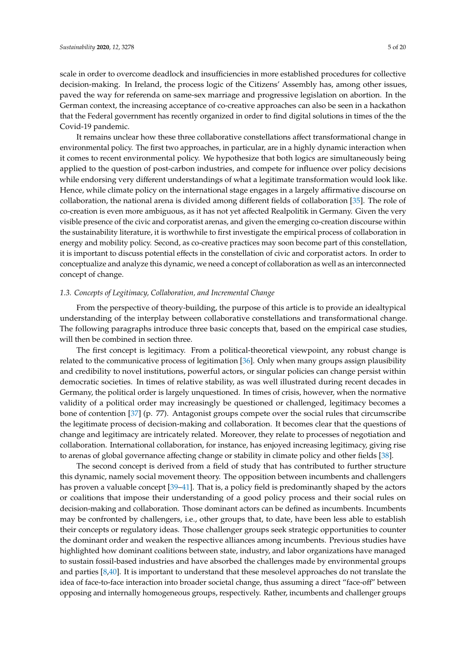scale in order to overcome deadlock and insufficiencies in more established procedures for collective decision-making. In Ireland, the process logic of the Citizens' Assembly has, among other issues, paved the way for referenda on same-sex marriage and progressive legislation on abortion. In the German context, the increasing acceptance of co-creative approaches can also be seen in a hackathon that the Federal government has recently organized in order to find digital solutions in times of the the Covid-19 pandemic.

It remains unclear how these three collaborative constellations affect transformational change in environmental policy. The first two approaches, in particular, are in a highly dynamic interaction when it comes to recent environmental policy. We hypothesize that both logics are simultaneously being applied to the question of post-carbon industries, and compete for influence over policy decisions while endorsing very different understandings of what a legitimate transformation would look like. Hence, while climate policy on the international stage engages in a largely affirmative discourse on collaboration, the national arena is divided among different fields of collaboration [\[35\]](#page-17-23). The role of co-creation is even more ambiguous, as it has not yet affected Realpolitik in Germany. Given the very visible presence of the civic and corporatist arenas, and given the emerging co-creation discourse within the sustainability literature, it is worthwhile to first investigate the empirical process of collaboration in energy and mobility policy. Second, as co-creative practices may soon become part of this constellation, it is important to discuss potential effects in the constellation of civic and corporatist actors. In order to conceptualize and analyze this dynamic, we need a concept of collaboration as well as an interconnected concept of change.

#### *1.3. Concepts of Legitimacy, Collaboration, and Incremental Change*

From the perspective of theory-building, the purpose of this article is to provide an idealtypical understanding of the interplay between collaborative constellations and transformational change. The following paragraphs introduce three basic concepts that, based on the empirical case studies, will then be combined in section three.

The first concept is legitimacy. From a political-theoretical viewpoint, any robust change is related to the communicative process of legitimation [\[36\]](#page-18-0). Only when many groups assign plausibility and credibility to novel institutions, powerful actors, or singular policies can change persist within democratic societies. In times of relative stability, as was well illustrated during recent decades in Germany, the political order is largely unquestioned. In times of crisis, however, when the normative validity of a political order may increasingly be questioned or challenged, legitimacy becomes a bone of contention [\[37\]](#page-18-1) (p. 77). Antagonist groups compete over the social rules that circumscribe the legitimate process of decision-making and collaboration. It becomes clear that the questions of change and legitimacy are intricately related. Moreover, they relate to processes of negotiation and collaboration. International collaboration, for instance, has enjoyed increasing legitimacy, giving rise to arenas of global governance affecting change or stability in climate policy and other fields [\[38\]](#page-18-2).

The second concept is derived from a field of study that has contributed to further structure this dynamic, namely social movement theory. The opposition between incumbents and challengers has proven a valuable concept [\[39–](#page-18-3)[41\]](#page-18-4). That is, a policy field is predominantly shaped by the actors or coalitions that impose their understanding of a good policy process and their social rules on decision-making and collaboration. Those dominant actors can be defined as incumbents. Incumbents may be confronted by challengers, i.e., other groups that, to date, have been less able to establish their concepts or regulatory ideas. Those challenger groups seek strategic opportunities to counter the dominant order and weaken the respective alliances among incumbents. Previous studies have highlighted how dominant coalitions between state, industry, and labor organizations have managed to sustain fossil-based industries and have absorbed the challenges made by environmental groups and parties [\[8,](#page-16-6)[40\]](#page-18-5). It is important to understand that these mesolevel approaches do not translate the idea of face-to-face interaction into broader societal change, thus assuming a direct "face-off" between opposing and internally homogeneous groups, respectively. Rather, incumbents and challenger groups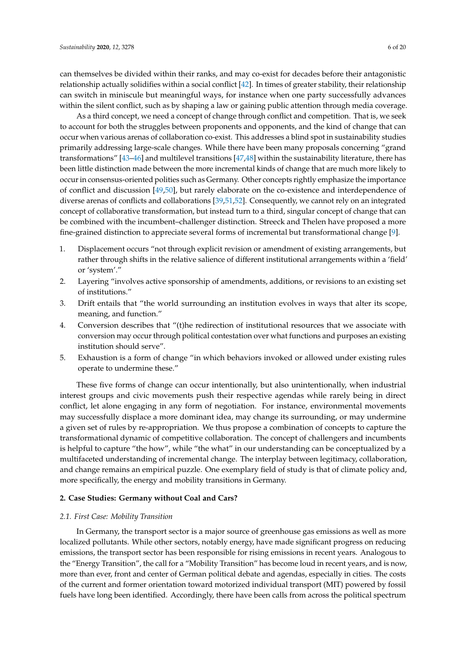can themselves be divided within their ranks, and may co-exist for decades before their antagonistic relationship actually solidifies within a social conflict [\[42\]](#page-18-6). In times of greater stability, their relationship can switch in miniscule but meaningful ways, for instance when one party successfully advances within the silent conflict, such as by shaping a law or gaining public attention through media coverage.

As a third concept, we need a concept of change through conflict and competition. That is, we seek to account for both the struggles between proponents and opponents, and the kind of change that can occur when various arenas of collaboration co-exist. This addresses a blind spot in sustainability studies primarily addressing large-scale changes. While there have been many proposals concerning "grand transformations" [\[43](#page-18-7)[–46\]](#page-18-8) and multilevel transitions [\[47,](#page-18-9)[48\]](#page-18-10) within the sustainability literature, there has been little distinction made between the more incremental kinds of change that are much more likely to occur in consensus-oriented polities such as Germany. Other concepts rightly emphasize the importance of conflict and discussion [\[49](#page-18-11)[,50\]](#page-18-12), but rarely elaborate on the co-existence and interdependence of diverse arenas of conflicts and collaborations [\[39,](#page-18-3)[51](#page-18-13)[,52\]](#page-18-14). Consequently, we cannot rely on an integrated concept of collaborative transformation, but instead turn to a third, singular concept of change that can be combined with the incumbent–challenger distinction. Streeck and Thelen have proposed a more fine-grained distinction to appreciate several forms of incremental but transformational change [\[9\]](#page-16-7).

- 1. Displacement occurs "not through explicit revision or amendment of existing arrangements, but rather through shifts in the relative salience of different institutional arrangements within a 'field' or 'system'."
- 2. Layering "involves active sponsorship of amendments, additions, or revisions to an existing set of institutions."
- 3. Drift entails that "the world surrounding an institution evolves in ways that alter its scope, meaning, and function."
- 4. Conversion describes that "(t)he redirection of institutional resources that we associate with conversion may occur through political contestation over what functions and purposes an existing institution should serve".
- 5. Exhaustion is a form of change "in which behaviors invoked or allowed under existing rules operate to undermine these."

These five forms of change can occur intentionally, but also unintentionally, when industrial interest groups and civic movements push their respective agendas while rarely being in direct conflict, let alone engaging in any form of negotiation. For instance, environmental movements may successfully displace a more dominant idea, may change its surrounding, or may undermine a given set of rules by re-appropriation. We thus propose a combination of concepts to capture the transformational dynamic of competitive collaboration. The concept of challengers and incumbents is helpful to capture "the how", while "the what" in our understanding can be conceptualized by a multifaceted understanding of incremental change. The interplay between legitimacy, collaboration, and change remains an empirical puzzle. One exemplary field of study is that of climate policy and, more specifically, the energy and mobility transitions in Germany.

#### **2. Case Studies: Germany without Coal and Cars?**

#### *2.1. First Case: Mobility Transition*

In Germany, the transport sector is a major source of greenhouse gas emissions as well as more localized pollutants. While other sectors, notably energy, have made significant progress on reducing emissions, the transport sector has been responsible for rising emissions in recent years. Analogous to the "Energy Transition", the call for a "Mobility Transition" has become loud in recent years, and is now, more than ever, front and center of German political debate and agendas, especially in cities. The costs of the current and former orientation toward motorized individual transport (MIT) powered by fossil fuels have long been identified. Accordingly, there have been calls from across the political spectrum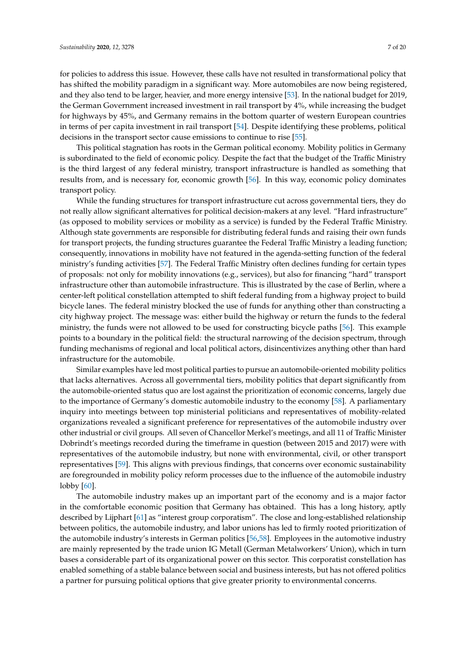for policies to address this issue. However, these calls have not resulted in transformational policy that has shifted the mobility paradigm in a significant way. More automobiles are now being registered, and they also tend to be larger, heavier, and more energy intensive [\[53\]](#page-18-15). In the national budget for 2019, the German Government increased investment in rail transport by 4%, while increasing the budget for highways by 45%, and Germany remains in the bottom quarter of western European countries in terms of per capita investment in rail transport [\[54\]](#page-18-16). Despite identifying these problems, political decisions in the transport sector cause emissions to continue to rise [\[55\]](#page-18-17).

This political stagnation has roots in the German political economy. Mobility politics in Germany is subordinated to the field of economic policy. Despite the fact that the budget of the Traffic Ministry is the third largest of any federal ministry, transport infrastructure is handled as something that results from, and is necessary for, economic growth [\[56\]](#page-18-18). In this way, economic policy dominates transport policy.

While the funding structures for transport infrastructure cut across governmental tiers, they do not really allow significant alternatives for political decision-makers at any level. "Hard infrastructure" (as opposed to mobility services or mobility as a service) is funded by the Federal Traffic Ministry. Although state governments are responsible for distributing federal funds and raising their own funds for transport projects, the funding structures guarantee the Federal Traffic Ministry a leading function; consequently, innovations in mobility have not featured in the agenda-setting function of the federal ministry's funding activities [\[57\]](#page-18-19). The Federal Traffic Ministry often declines funding for certain types of proposals: not only for mobility innovations (e.g., services), but also for financing "hard" transport infrastructure other than automobile infrastructure. This is illustrated by the case of Berlin, where a center-left political constellation attempted to shift federal funding from a highway project to build bicycle lanes. The federal ministry blocked the use of funds for anything other than constructing a city highway project. The message was: either build the highway or return the funds to the federal ministry, the funds were not allowed to be used for constructing bicycle paths [\[56\]](#page-18-18). This example points to a boundary in the political field: the structural narrowing of the decision spectrum, through funding mechanisms of regional and local political actors, disincentivizes anything other than hard infrastructure for the automobile.

Similar examples have led most political parties to pursue an automobile-oriented mobility politics that lacks alternatives. Across all governmental tiers, mobility politics that depart significantly from the automobile-oriented status quo are lost against the prioritization of economic concerns, largely due to the importance of Germany's domestic automobile industry to the economy [\[58\]](#page-18-20). A parliamentary inquiry into meetings between top ministerial politicians and representatives of mobility-related organizations revealed a significant preference for representatives of the automobile industry over other industrial or civil groups. All seven of Chancellor Merkel's meetings, and all 11 of Traffic Minister Dobrindt's meetings recorded during the timeframe in question (between 2015 and 2017) were with representatives of the automobile industry, but none with environmental, civil, or other transport representatives [\[59\]](#page-18-21). This aligns with previous findings, that concerns over economic sustainability are foregrounded in mobility policy reform processes due to the influence of the automobile industry  $lobby [60]$  $lobby [60]$ .

The automobile industry makes up an important part of the economy and is a major factor in the comfortable economic position that Germany has obtained. This has a long history, aptly described by Lijphart [\[61\]](#page-18-23) as "interest group corporatism". The close and long-established relationship between politics, the automobile industry, and labor unions has led to firmly rooted prioritization of the automobile industry's interests in German politics [\[56,](#page-18-18)[58\]](#page-18-20). Employees in the automotive industry are mainly represented by the trade union IG Metall (German Metalworkers' Union), which in turn bases a considerable part of its organizational power on this sector. This corporatist constellation has enabled something of a stable balance between social and business interests, but has not offered politics a partner for pursuing political options that give greater priority to environmental concerns.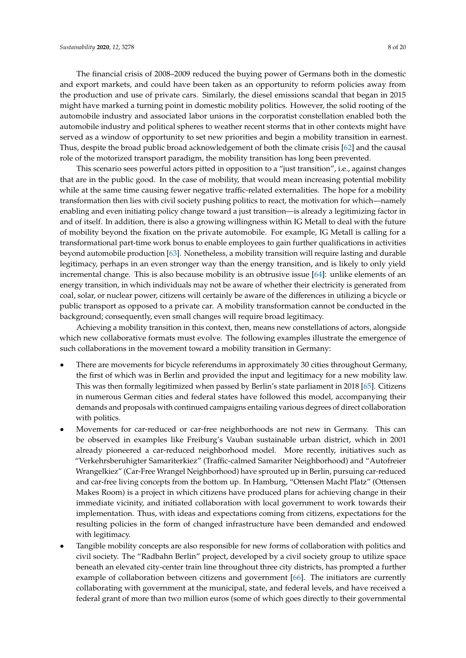The financial crisis of 2008–2009 reduced the buying power of Germans both in the domestic and export markets, and could have been taken as an opportunity to reform policies away from the production and use of private cars. Similarly, the diesel emissions scandal that began in 2015 might have marked a turning point in domestic mobility politics. However, the solid rooting of the automobile industry and associated labor unions in the corporatist constellation enabled both the automobile industry and political spheres to weather recent storms that in other contexts might have served as a window of opportunity to set new priorities and begin a mobility transition in earnest. Thus, despite the broad public broad acknowledgement of both the climate crisis [\[62\]](#page-19-0) and the causal role of the motorized transport paradigm, the mobility transition has long been prevented.

This scenario sees powerful actors pitted in opposition to a "just transition", i.e., against changes that are in the public good. In the case of mobility, that would mean increasing potential mobility while at the same time causing fewer negative traffic-related externalities. The hope for a mobility transformation then lies with civil society pushing politics to react, the motivation for which—namely enabling and even initiating policy change toward a just transition—is already a legitimizing factor in and of itself. In addition, there is also a growing willingness within IG Metall to deal with the future of mobility beyond the fixation on the private automobile. For example, IG Metall is calling for a transformational part-time work bonus to enable employees to gain further qualifications in activities beyond automobile production [\[63\]](#page-19-1). Nonetheless, a mobility transition will require lasting and durable legitimacy, perhaps in an even stronger way than the energy transition, and is likely to only yield incremental change. This is also because mobility is an obtrusive issue [\[64\]](#page-19-2): unlike elements of an energy transition, in which individuals may not be aware of whether their electricity is generated from coal, solar, or nuclear power, citizens will certainly be aware of the differences in utilizing a bicycle or public transport as opposed to a private car. A mobility transformation cannot be conducted in the background; consequently, even small changes will require broad legitimacy.

Achieving a mobility transition in this context, then, means new constellations of actors, alongside which new collaborative formats must evolve. The following examples illustrate the emergence of such collaborations in the movement toward a mobility transition in Germany:

- There are movements for bicycle referendums in approximately 30 cities throughout Germany, the first of which was in Berlin and provided the input and legitimacy for a new mobility law. This was then formally legitimized when passed by Berlin's state parliament in 2018 [\[65\]](#page-19-3). Citizens in numerous German cities and federal states have followed this model, accompanying their demands and proposals with continued campaigns entailing various degrees of direct collaboration with politics.
- Movements for car-reduced or car-free neighborhoods are not new in Germany. This can be observed in examples like Freiburg's Vauban sustainable urban district, which in 2001 already pioneered a car-reduced neighborhood model. More recently, initiatives such as "Verkehrsberuhigter Samariterkiez" (Traffic-calmed Samariter Neighborhood) and "Autofreier Wrangelkiez" (Car-Free Wrangel Neighborhood) have sprouted up in Berlin, pursuing car-reduced and car-free living concepts from the bottom up. In Hamburg, "Ottensen Macht Platz" (Ottensen Makes Room) is a project in which citizens have produced plans for achieving change in their immediate vicinity, and initiated collaboration with local government to work towards their implementation. Thus, with ideas and expectations coming from citizens, expectations for the resulting policies in the form of changed infrastructure have been demanded and endowed with legitimacy.
- Tangible mobility concepts are also responsible for new forms of collaboration with politics and civil society. The "Radbahn Berlin" project, developed by a civil society group to utilize space beneath an elevated city-center train line throughout three city districts, has prompted a further example of collaboration between citizens and government [\[66\]](#page-19-4). The initiators are currently collaborating with government at the municipal, state, and federal levels, and have received a federal grant of more than two million euros (some of which goes directly to their governmental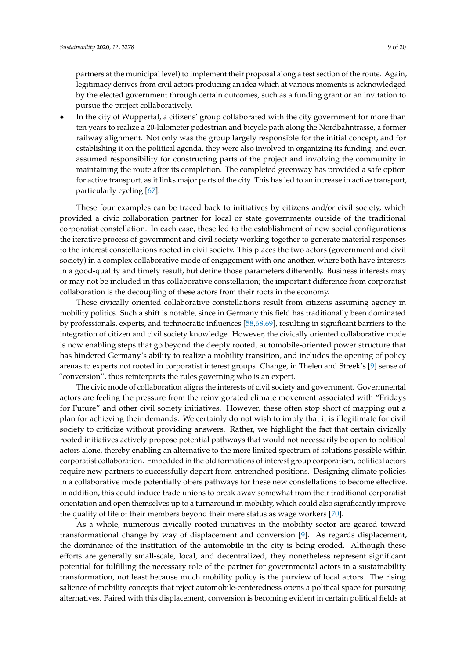partners at the municipal level) to implement their proposal along a test section of the route. Again, legitimacy derives from civil actors producing an idea which at various moments is acknowledged by the elected government through certain outcomes, such as a funding grant or an invitation to pursue the project collaboratively.

In the city of Wuppertal, a citizens' group collaborated with the city government for more than ten years to realize a 20-kilometer pedestrian and bicycle path along the Nordbahntrasse, a former railway alignment. Not only was the group largely responsible for the initial concept, and for establishing it on the political agenda, they were also involved in organizing its funding, and even assumed responsibility for constructing parts of the project and involving the community in maintaining the route after its completion. The completed greenway has provided a safe option for active transport, as it links major parts of the city. This has led to an increase in active transport, particularly cycling [\[67\]](#page-19-5).

These four examples can be traced back to initiatives by citizens and/or civil society, which provided a civic collaboration partner for local or state governments outside of the traditional corporatist constellation. In each case, these led to the establishment of new social configurations: the iterative process of government and civil society working together to generate material responses to the interest constellations rooted in civil society. This places the two actors (government and civil society) in a complex collaborative mode of engagement with one another, where both have interests in a good-quality and timely result, but define those parameters differently. Business interests may or may not be included in this collaborative constellation; the important difference from corporatist collaboration is the decoupling of these actors from their roots in the economy.

These civically oriented collaborative constellations result from citizens assuming agency in mobility politics. Such a shift is notable, since in Germany this field has traditionally been dominated by professionals, experts, and technocratic influences [\[58](#page-18-20)[,68](#page-19-6)[,69\]](#page-19-7), resulting in significant barriers to the integration of citizen and civil society knowledge. However, the civically oriented collaborative mode is now enabling steps that go beyond the deeply rooted, automobile-oriented power structure that has hindered Germany's ability to realize a mobility transition, and includes the opening of policy arenas to experts not rooted in corporatist interest groups. Change, in Thelen and Streek's [\[9\]](#page-16-7) sense of "conversion", thus reinterprets the rules governing who is an expert.

The civic mode of collaboration aligns the interests of civil society and government. Governmental actors are feeling the pressure from the reinvigorated climate movement associated with "Fridays for Future" and other civil society initiatives. However, these often stop short of mapping out a plan for achieving their demands. We certainly do not wish to imply that it is illegitimate for civil society to criticize without providing answers. Rather, we highlight the fact that certain civically rooted initiatives actively propose potential pathways that would not necessarily be open to political actors alone, thereby enabling an alternative to the more limited spectrum of solutions possible within corporatist collaboration. Embedded in the old formations of interest group corporatism, political actors require new partners to successfully depart from entrenched positions. Designing climate policies in a collaborative mode potentially offers pathways for these new constellations to become effective. In addition, this could induce trade unions to break away somewhat from their traditional corporatist orientation and open themselves up to a turnaround in mobility, which could also significantly improve the quality of life of their members beyond their mere status as wage workers [\[70\]](#page-19-8).

As a whole, numerous civically rooted initiatives in the mobility sector are geared toward transformational change by way of displacement and conversion [\[9\]](#page-16-7). As regards displacement, the dominance of the institution of the automobile in the city is being eroded. Although these efforts are generally small-scale, local, and decentralized, they nonetheless represent significant potential for fulfilling the necessary role of the partner for governmental actors in a sustainability transformation, not least because much mobility policy is the purview of local actors. The rising salience of mobility concepts that reject automobile-centeredness opens a political space for pursuing alternatives. Paired with this displacement, conversion is becoming evident in certain political fields at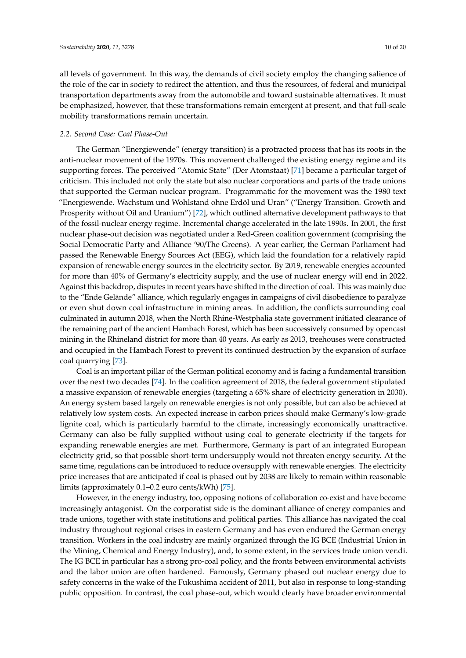all levels of government. In this way, the demands of civil society employ the changing salience of the role of the car in society to redirect the attention, and thus the resources, of federal and municipal transportation departments away from the automobile and toward sustainable alternatives. It must be emphasized, however, that these transformations remain emergent at present, and that full-scale mobility transformations remain uncertain.

# *2.2. Second Case: Coal Phase-Out*

The German "Energiewende" (energy transition) is a protracted process that has its roots in the anti-nuclear movement of the 1970s. This movement challenged the existing energy regime and its supporting forces. The perceived "Atomic State" (Der Atomstaat) [\[71\]](#page-19-9) became a particular target of criticism. This included not only the state but also nuclear corporations and parts of the trade unions that supported the German nuclear program. Programmatic for the movement was the 1980 text "Energiewende. Wachstum und Wohlstand ohne Erdöl und Uran" ("Energy Transition. Growth and Prosperity without Oil and Uranium") [\[72\]](#page-19-10), which outlined alternative development pathways to that of the fossil-nuclear energy regime. Incremental change accelerated in the late 1990s. In 2001, the first nuclear phase-out decision was negotiated under a Red-Green coalition government (comprising the Social Democratic Party and Alliance '90/The Greens). A year earlier, the German Parliament had passed the Renewable Energy Sources Act (EEG), which laid the foundation for a relatively rapid expansion of renewable energy sources in the electricity sector. By 2019, renewable energies accounted for more than 40% of Germany's electricity supply, and the use of nuclear energy will end in 2022. Against this backdrop, disputes in recent years have shifted in the direction of coal. This was mainly due to the "Ende Gelände" alliance, which regularly engages in campaigns of civil disobedience to paralyze or even shut down coal infrastructure in mining areas. In addition, the conflicts surrounding coal culminated in autumn 2018, when the North Rhine-Westphalia state government initiated clearance of the remaining part of the ancient Hambach Forest, which has been successively consumed by opencast mining in the Rhineland district for more than 40 years. As early as 2013, treehouses were constructed and occupied in the Hambach Forest to prevent its continued destruction by the expansion of surface coal quarrying [\[73\]](#page-19-11).

Coal is an important pillar of the German political economy and is facing a fundamental transition over the next two decades [\[74\]](#page-19-12). In the coalition agreement of 2018, the federal government stipulated a massive expansion of renewable energies (targeting a 65% share of electricity generation in 2030). An energy system based largely on renewable energies is not only possible, but can also be achieved at relatively low system costs. An expected increase in carbon prices should make Germany's low-grade lignite coal, which is particularly harmful to the climate, increasingly economically unattractive. Germany can also be fully supplied without using coal to generate electricity if the targets for expanding renewable energies are met. Furthermore, Germany is part of an integrated European electricity grid, so that possible short-term undersupply would not threaten energy security. At the same time, regulations can be introduced to reduce oversupply with renewable energies. The electricity price increases that are anticipated if coal is phased out by 2038 are likely to remain within reasonable limits (approximately 0.1–0.2 euro cents/kWh) [\[75\]](#page-19-13).

However, in the energy industry, too, opposing notions of collaboration co-exist and have become increasingly antagonist. On the corporatist side is the dominant alliance of energy companies and trade unions, together with state institutions and political parties. This alliance has navigated the coal industry throughout regional crises in eastern Germany and has even endured the German energy transition. Workers in the coal industry are mainly organized through the IG BCE (Industrial Union in the Mining, Chemical and Energy Industry), and, to some extent, in the services trade union ver.di. The IG BCE in particular has a strong pro-coal policy, and the fronts between environmental activists and the labor union are often hardened. Famously, Germany phased out nuclear energy due to safety concerns in the wake of the Fukushima accident of 2011, but also in response to long-standing public opposition. In contrast, the coal phase-out, which would clearly have broader environmental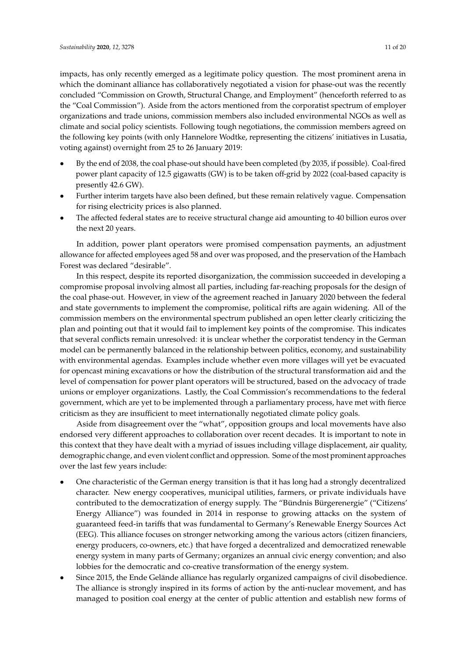impacts, has only recently emerged as a legitimate policy question. The most prominent arena in which the dominant alliance has collaboratively negotiated a vision for phase-out was the recently concluded "Commission on Growth, Structural Change, and Employment" (henceforth referred to as the "Coal Commission"). Aside from the actors mentioned from the corporatist spectrum of employer organizations and trade unions, commission members also included environmental NGOs as well as climate and social policy scientists. Following tough negotiations, the commission members agreed on the following key points (with only Hannelore Wodtke, representing the citizens' initiatives in Lusatia, voting against) overnight from 25 to 26 January 2019:

- By the end of 2038, the coal phase-out should have been completed (by 2035, if possible). Coal-fired power plant capacity of 12.5 gigawatts (GW) is to be taken off-grid by 2022 (coal-based capacity is presently 42.6 GW).
- Further interim targets have also been defined, but these remain relatively vague. Compensation for rising electricity prices is also planned.
- The affected federal states are to receive structural change aid amounting to 40 billion euros over the next 20 years.

In addition, power plant operators were promised compensation payments, an adjustment allowance for affected employees aged 58 and over was proposed, and the preservation of the Hambach Forest was declared "desirable".

In this respect, despite its reported disorganization, the commission succeeded in developing a compromise proposal involving almost all parties, including far-reaching proposals for the design of the coal phase-out. However, in view of the agreement reached in January 2020 between the federal and state governments to implement the compromise, political rifts are again widening. All of the commission members on the environmental spectrum published an open letter clearly criticizing the plan and pointing out that it would fail to implement key points of the compromise. This indicates that several conflicts remain unresolved: it is unclear whether the corporatist tendency in the German model can be permanently balanced in the relationship between politics, economy, and sustainability with environmental agendas. Examples include whether even more villages will yet be evacuated for opencast mining excavations or how the distribution of the structural transformation aid and the level of compensation for power plant operators will be structured, based on the advocacy of trade unions or employer organizations. Lastly, the Coal Commission's recommendations to the federal government, which are yet to be implemented through a parliamentary process, have met with fierce criticism as they are insufficient to meet internationally negotiated climate policy goals.

Aside from disagreement over the "what", opposition groups and local movements have also endorsed very different approaches to collaboration over recent decades. It is important to note in this context that they have dealt with a myriad of issues including village displacement, air quality, demographic change, and even violent conflict and oppression. Some of the most prominent approaches over the last few years include:

- One characteristic of the German energy transition is that it has long had a strongly decentralized character. New energy cooperatives, municipal utilities, farmers, or private individuals have contributed to the democratization of energy supply. The "Bündnis Bürgerenergie" ("Citizens' Energy Alliance") was founded in 2014 in response to growing attacks on the system of guaranteed feed-in tariffs that was fundamental to Germany's Renewable Energy Sources Act (EEG). This alliance focuses on stronger networking among the various actors (citizen financiers, energy producers, co-owners, etc.) that have forged a decentralized and democratized renewable energy system in many parts of Germany; organizes an annual civic energy convention; and also lobbies for the democratic and co-creative transformation of the energy system.
- Since 2015, the Ende Gelände alliance has regularly organized campaigns of civil disobedience. The alliance is strongly inspired in its forms of action by the anti-nuclear movement, and has managed to position coal energy at the center of public attention and establish new forms of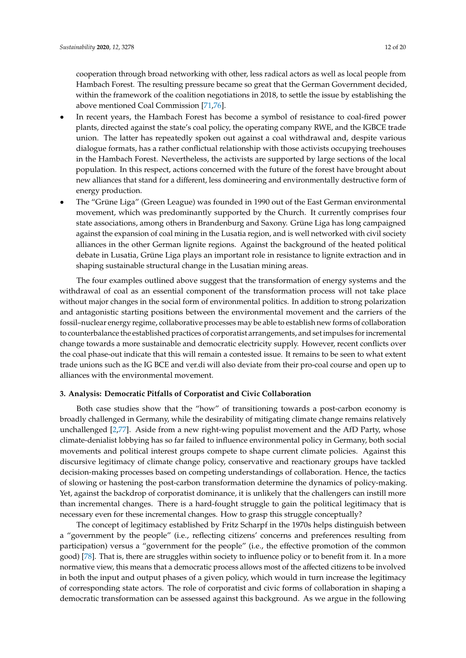cooperation through broad networking with other, less radical actors as well as local people from Hambach Forest. The resulting pressure became so great that the German Government decided, within the framework of the coalition negotiations in 2018, to settle the issue by establishing the above mentioned Coal Commission [\[71](#page-19-9)[,76\]](#page-19-14).

- In recent years, the Hambach Forest has become a symbol of resistance to coal-fired power plants, directed against the state's coal policy, the operating company RWE, and the IGBCE trade union. The latter has repeatedly spoken out against a coal withdrawal and, despite various dialogue formats, has a rather conflictual relationship with those activists occupying treehouses in the Hambach Forest. Nevertheless, the activists are supported by large sections of the local population. In this respect, actions concerned with the future of the forest have brought about new alliances that stand for a different, less domineering and environmentally destructive form of energy production.
- The "Grüne Liga" (Green League) was founded in 1990 out of the East German environmental movement, which was predominantly supported by the Church. It currently comprises four state associations, among others in Brandenburg and Saxony. Grüne Liga has long campaigned against the expansion of coal mining in the Lusatia region, and is well networked with civil society alliances in the other German lignite regions. Against the background of the heated political debate in Lusatia, Grüne Liga plays an important role in resistance to lignite extraction and in shaping sustainable structural change in the Lusatian mining areas.

The four examples outlined above suggest that the transformation of energy systems and the withdrawal of coal as an essential component of the transformation process will not take place without major changes in the social form of environmental politics. In addition to strong polarization and antagonistic starting positions between the environmental movement and the carriers of the fossil–nuclear energy regime, collaborative processes may be able to establish new forms of collaboration to counterbalance the established practices of corporatist arrangements, and set impulses for incremental change towards a more sustainable and democratic electricity supply. However, recent conflicts over the coal phase-out indicate that this will remain a contested issue. It remains to be seen to what extent trade unions such as the IG BCE and ver.di will also deviate from their pro-coal course and open up to alliances with the environmental movement.

### **3. Analysis: Democratic Pitfalls of Corporatist and Civic Collaboration**

Both case studies show that the "how" of transitioning towards a post-carbon economy is broadly challenged in Germany, while the desirability of mitigating climate change remains relatively unchallenged [\[2,](#page-16-1)[77\]](#page-19-15). Aside from a new right-wing populist movement and the AfD Party, whose climate-denialist lobbying has so far failed to influence environmental policy in Germany, both social movements and political interest groups compete to shape current climate policies. Against this discursive legitimacy of climate change policy, conservative and reactionary groups have tackled decision-making processes based on competing understandings of collaboration. Hence, the tactics of slowing or hastening the post-carbon transformation determine the dynamics of policy-making. Yet, against the backdrop of corporatist dominance, it is unlikely that the challengers can instill more than incremental changes. There is a hard-fought struggle to gain the political legitimacy that is necessary even for these incremental changes. How to grasp this struggle conceptually?

The concept of legitimacy established by Fritz Scharpf in the 1970s helps distinguish between a "government by the people" (i.e., reflecting citizens' concerns and preferences resulting from participation) versus a "government for the people" (i.e., the effective promotion of the common good) [\[78\]](#page-19-16). That is, there are struggles within society to influence policy or to benefit from it. In a more normative view, this means that a democratic process allows most of the affected citizens to be involved in both the input and output phases of a given policy, which would in turn increase the legitimacy of corresponding state actors. The role of corporatist and civic forms of collaboration in shaping a democratic transformation can be assessed against this background. As we argue in the following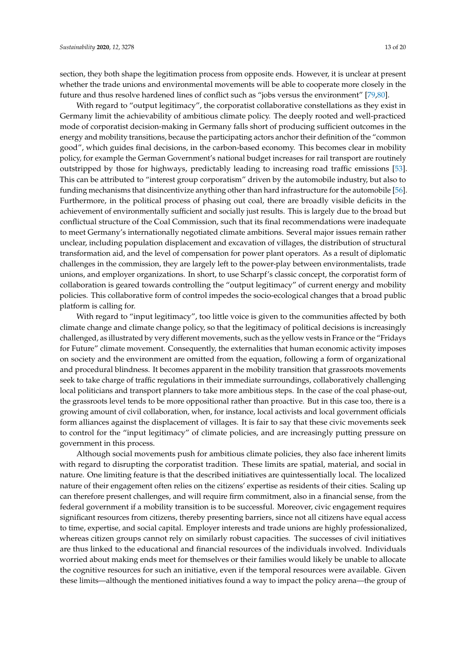section, they both shape the legitimation process from opposite ends. However, it is unclear at present whether the trade unions and environmental movements will be able to cooperate more closely in the future and thus resolve hardened lines of conflict such as "jobs versus the environment" [\[79,](#page-19-17)[80\]](#page-19-18).

With regard to "output legitimacy", the corporatist collaborative constellations as they exist in Germany limit the achievability of ambitious climate policy. The deeply rooted and well-practiced mode of corporatist decision-making in Germany falls short of producing sufficient outcomes in the energy and mobility transitions, because the participating actors anchor their definition of the "common good", which guides final decisions, in the carbon-based economy. This becomes clear in mobility policy, for example the German Government's national budget increases for rail transport are routinely outstripped by those for highways, predictably leading to increasing road traffic emissions [\[53\]](#page-18-15). This can be attributed to "interest group corporatism" driven by the automobile industry, but also to funding mechanisms that disincentivize anything other than hard infrastructure for the automobile [\[56\]](#page-18-18). Furthermore, in the political process of phasing out coal, there are broadly visible deficits in the achievement of environmentally sufficient and socially just results. This is largely due to the broad but conflictual structure of the Coal Commission, such that its final recommendations were inadequate to meet Germany's internationally negotiated climate ambitions. Several major issues remain rather unclear, including population displacement and excavation of villages, the distribution of structural transformation aid, and the level of compensation for power plant operators. As a result of diplomatic challenges in the commission, they are largely left to the power-play between environmentalists, trade unions, and employer organizations. In short, to use Scharpf's classic concept, the corporatist form of collaboration is geared towards controlling the "output legitimacy" of current energy and mobility policies. This collaborative form of control impedes the socio-ecological changes that a broad public platform is calling for.

With regard to "input legitimacy", too little voice is given to the communities affected by both climate change and climate change policy, so that the legitimacy of political decisions is increasingly challenged, as illustrated by very different movements, such as the yellow vests in France or the "Fridays for Future" climate movement. Consequently, the externalities that human economic activity imposes on society and the environment are omitted from the equation, following a form of organizational and procedural blindness. It becomes apparent in the mobility transition that grassroots movements seek to take charge of traffic regulations in their immediate surroundings, collaboratively challenging local politicians and transport planners to take more ambitious steps. In the case of the coal phase-out, the grassroots level tends to be more oppositional rather than proactive. But in this case too, there is a growing amount of civil collaboration, when, for instance, local activists and local government officials form alliances against the displacement of villages. It is fair to say that these civic movements seek to control for the "input legitimacy" of climate policies, and are increasingly putting pressure on government in this process.

Although social movements push for ambitious climate policies, they also face inherent limits with regard to disrupting the corporatist tradition. These limits are spatial, material, and social in nature. One limiting feature is that the described initiatives are quintessentially local. The localized nature of their engagement often relies on the citizens' expertise as residents of their cities. Scaling up can therefore present challenges, and will require firm commitment, also in a financial sense, from the federal government if a mobility transition is to be successful. Moreover, civic engagement requires significant resources from citizens, thereby presenting barriers, since not all citizens have equal access to time, expertise, and social capital. Employer interests and trade unions are highly professionalized, whereas citizen groups cannot rely on similarly robust capacities. The successes of civil initiatives are thus linked to the educational and financial resources of the individuals involved. Individuals worried about making ends meet for themselves or their families would likely be unable to allocate the cognitive resources for such an initiative, even if the temporal resources were available. Given these limits—although the mentioned initiatives found a way to impact the policy arena—the group of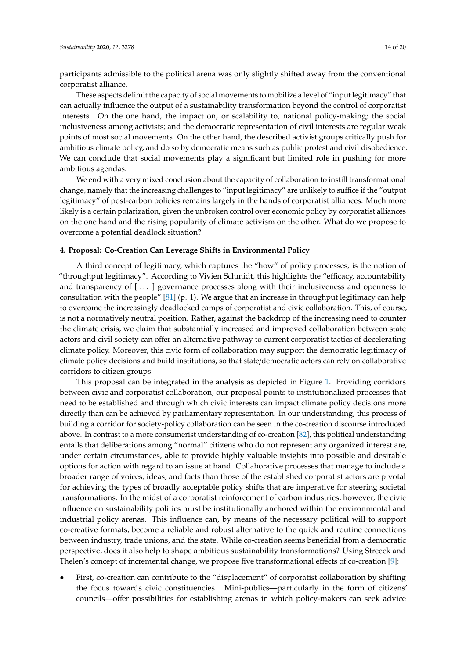participants admissible to the political arena was only slightly shifted away from the conventional corporatist alliance.

These aspects delimit the capacity of social movements to mobilize a level of "input legitimacy" that can actually influence the output of a sustainability transformation beyond the control of corporatist interests. On the one hand, the impact on, or scalability to, national policy-making; the social inclusiveness among activists; and the democratic representation of civil interests are regular weak points of most social movements. On the other hand, the described activist groups critically push for ambitious climate policy, and do so by democratic means such as public protest and civil disobedience. We can conclude that social movements play a significant but limited role in pushing for more ambitious agendas.

We end with a very mixed conclusion about the capacity of collaboration to instill transformational change, namely that the increasing challenges to "input legitimacy" are unlikely to suffice if the "output legitimacy" of post-carbon policies remains largely in the hands of corporatist alliances. Much more likely is a certain polarization, given the unbroken control over economic policy by corporatist alliances on the one hand and the rising popularity of climate activism on the other. What do we propose to overcome a potential deadlock situation?

#### **4. Proposal: Co-Creation Can Leverage Shifts in Environmental Policy**

A third concept of legitimacy, which captures the "how" of policy processes, is the notion of "throughput legitimacy". According to Vivien Schmidt, this highlights the "efficacy, accountability and transparency of [...] governance processes along with their inclusiveness and openness to consultation with the people" [\[81\]](#page-19-19) (p. 1). We argue that an increase in throughput legitimacy can help to overcome the increasingly deadlocked camps of corporatist and civic collaboration. This, of course, is not a normatively neutral position. Rather, against the backdrop of the increasing need to counter the climate crisis, we claim that substantially increased and improved collaboration between state actors and civil society can offer an alternative pathway to current corporatist tactics of decelerating climate policy. Moreover, this civic form of collaboration may support the democratic legitimacy of climate policy decisions and build institutions, so that state/democratic actors can rely on collaborative corridors to citizen groups.

This proposal can be integrated in the analysis as depicted in Figure [1.](#page-15-0) Providing corridors between civic and corporatist collaboration, our proposal points to institutionalized processes that need to be established and through which civic interests can impact climate policy decisions more directly than can be achieved by parliamentary representation. In our understanding, this process of building a corridor for society-policy collaboration can be seen in the co-creation discourse introduced above. In contrast to a more consumerist understanding of co-creation [\[82\]](#page-19-20), this political understanding entails that deliberations among "normal" citizens who do not represent any organized interest are, under certain circumstances, able to provide highly valuable insights into possible and desirable options for action with regard to an issue at hand. Collaborative processes that manage to include a broader range of voices, ideas, and facts than those of the established corporatist actors are pivotal for achieving the types of broadly acceptable policy shifts that are imperative for steering societal transformations. In the midst of a corporatist reinforcement of carbon industries, however, the civic influence on sustainability politics must be institutionally anchored within the environmental and industrial policy arenas. This influence can, by means of the necessary political will to support co-creative formats, become a reliable and robust alternative to the quick and routine connections between industry, trade unions, and the state. While co-creation seems beneficial from a democratic perspective, does it also help to shape ambitious sustainability transformations? Using Streeck and Thelen's concept of incremental change, we propose five transformational effects of co-creation [\[9\]](#page-16-7):

• First, co-creation can contribute to the "displacement" of corporatist collaboration by shifting the focus towards civic constituencies. Mini-publics—particularly in the form of citizens' councils—offer possibilities for establishing arenas in which policy-makers can seek advice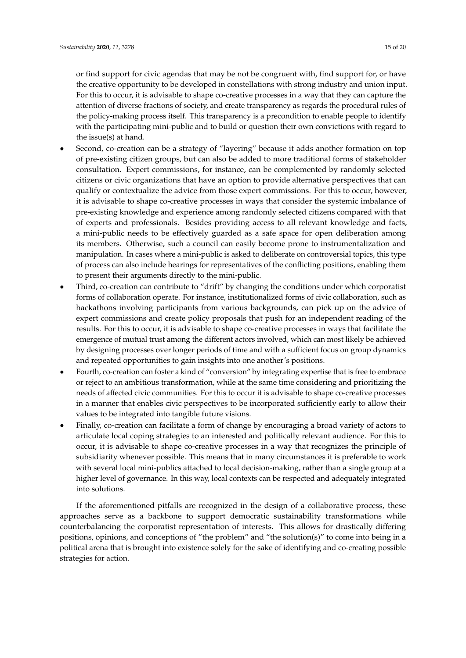or find support for civic agendas that may be not be congruent with, find support for, or have the creative opportunity to be developed in constellations with strong industry and union input. For this to occur, it is advisable to shape co-creative processes in a way that they can capture the attention of diverse fractions of society, and create transparency as regards the procedural rules of the policy-making process itself. This transparency is a precondition to enable people to identify with the participating mini-public and to build or question their own convictions with regard to the issue(s) at hand.

- Second, co-creation can be a strategy of "layering" because it adds another formation on top of pre-existing citizen groups, but can also be added to more traditional forms of stakeholder consultation. Expert commissions, for instance, can be complemented by randomly selected citizens or civic organizations that have an option to provide alternative perspectives that can qualify or contextualize the advice from those expert commissions. For this to occur, however, it is advisable to shape co-creative processes in ways that consider the systemic imbalance of pre-existing knowledge and experience among randomly selected citizens compared with that of experts and professionals. Besides providing access to all relevant knowledge and facts, a mini-public needs to be effectively guarded as a safe space for open deliberation among its members. Otherwise, such a council can easily become prone to instrumentalization and manipulation. In cases where a mini-public is asked to deliberate on controversial topics, this type of process can also include hearings for representatives of the conflicting positions, enabling them to present their arguments directly to the mini-public.
- Third, co-creation can contribute to "drift" by changing the conditions under which corporatist forms of collaboration operate. For instance, institutionalized forms of civic collaboration, such as hackathons involving participants from various backgrounds, can pick up on the advice of expert commissions and create policy proposals that push for an independent reading of the results. For this to occur, it is advisable to shape co-creative processes in ways that facilitate the emergence of mutual trust among the different actors involved, which can most likely be achieved by designing processes over longer periods of time and with a sufficient focus on group dynamics and repeated opportunities to gain insights into one another's positions.
- Fourth, co-creation can foster a kind of "conversion" by integrating expertise that is free to embrace or reject to an ambitious transformation, while at the same time considering and prioritizing the needs of affected civic communities. For this to occur it is advisable to shape co-creative processes in a manner that enables civic perspectives to be incorporated sufficiently early to allow their values to be integrated into tangible future visions.
- Finally, co-creation can facilitate a form of change by encouraging a broad variety of actors to articulate local coping strategies to an interested and politically relevant audience. For this to occur, it is advisable to shape co-creative processes in a way that recognizes the principle of subsidiarity whenever possible. This means that in many circumstances it is preferable to work with several local mini-publics attached to local decision-making, rather than a single group at a higher level of governance. In this way, local contexts can be respected and adequately integrated into solutions.

If the aforementioned pitfalls are recognized in the design of a collaborative process, these approaches serve as a backbone to support democratic sustainability transformations while counterbalancing the corporatist representation of interests. This allows for drastically differing positions, opinions, and conceptions of "the problem" and "the solution(s)" to come into being in a political arena that is brought into existence solely for the sake of identifying and co-creating possible strategies for action.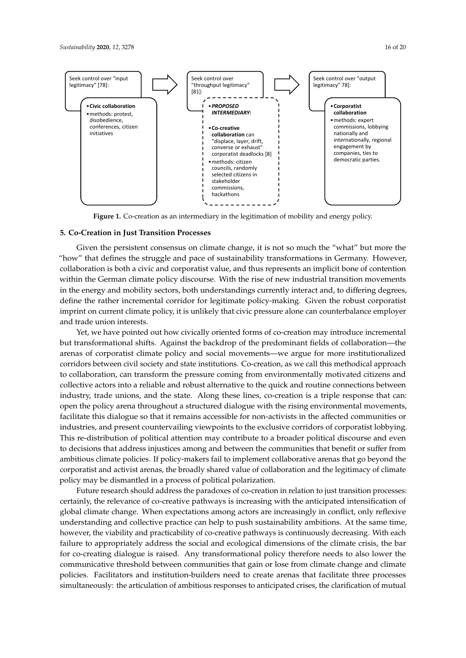<span id="page-15-0"></span>

Figure 1. Co-creation as an intermediary in the legitimation of mobility and energy policy.

## **5. Co-Creation in Just Transition Processes**

Given the persistent consensus on climate change, it is not so much the "what" but more the "how" that defines the struggle and pace of sustainability transformations in Germany. However, collaboration is both a civic and corporatist value, and thus represents an implicit bone of contention within the German climate policy discourse. With the rise of new industrial transition movements in the energy and mobility sectors, both understandings currently interact and, to differing degrees, define the rather incremental corridor for legitimate policy-making. Given the robust corporatist imprint on current climate policy, it is unlikely that civic pressure alone can counterbalance employer and trade union interests.

Yet, we have pointed out how civically oriented forms of co-creation may introduce incremental but transformational shifts. Against the backdrop of the predominant fields of collaboration—the arenas of corporatist climate policy and social movements—we argue for more institutionalized corridors between civil society and state institutions. Co-creation, as we call this methodical approach to collaboration, can transform the pressure coming from environmentally motivated citizens and collective actors into a reliable and robust alternative to the quick and routine connections between industry, trade unions, and the state. Along these lines, co-creation is a triple response that can: open the policy arena throughout a structured dialogue with the rising environmental movements, facilitate this dialogue so that it remains accessible for non-activists in the affected communities or industries, and present countervailing viewpoints to the exclusive corridors of corporatist lobbying. This re-distribution of political attention may contribute to a broader political discourse and even to decisions that address injustices among and between the communities that benefit or suffer from ambitious climate policies. If policy-makers fail to implement collaborative arenas that go beyond the corporatist and activist arenas, the broadly shared value of collaboration and the legitimacy of climate policy may be dismantled in a process of political polarization.

Future research should address the paradoxes of co-creation in relation to just transition processes: certainly, the relevance of co-creative pathways is increasing with the anticipated intensification of global climate change. When expectations among actors are increasingly in conflict, only reflexive understanding and collective practice can help to push sustainability ambitions. At the same time, however, the viability and practicability of co-creative pathways is continuously decreasing. With each failure to appropriately address the social and ecological dimensions of the climate crisis, the bar for co-creating dialogue is raised. Any transformational policy therefore needs to also lower the communicative threshold between communities that gain or lose from climate change and climate policies. Facilitators and institution-builders need to create arenas that facilitate three processes simultaneously: the articulation of ambitious responses to anticipated crises, the clarification of mutual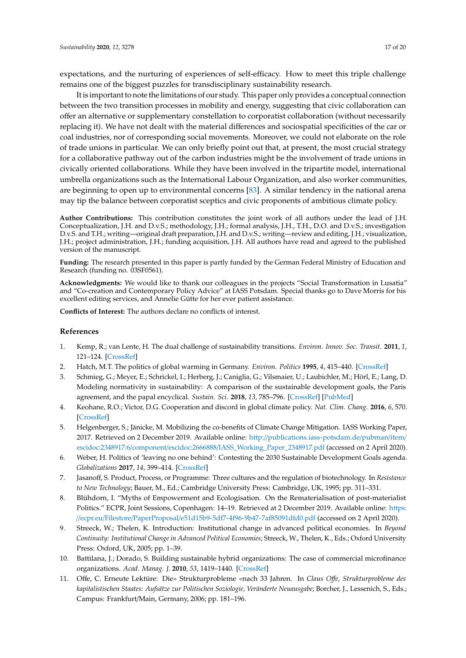expectations, and the nurturing of experiences of self-efficacy. How to meet this triple challenge remains one of the biggest puzzles for transdisciplinary sustainability research.

It is important to note the limitations of our study. This paper only provides a conceptual connection between the two transition processes in mobility and energy, suggesting that civic collaboration can offer an alternative or supplementary constellation to corporatist collaboration (without necessarily replacing it). We have not dealt with the material differences and sociospatial specificities of the car or coal industries, nor of corresponding social movements. Moreover, we could not elaborate on the role of trade unions in particular. We can only briefly point out that, at present, the most crucial strategy for a collaborative pathway out of the carbon industries might be the involvement of trade unions in civically oriented collaborations. While they have been involved in the tripartite model, international umbrella organizations such as the International Labour Organization, and also worker communities, are beginning to open up to environmental concerns [\[83\]](#page-19-21). A similar tendency in the national arena may tip the balance between corporatist sceptics and civic proponents of ambitious climate policy.

**Author Contributions:** This contribution constitutes the joint work of all authors under the lead of J.H. Conceptualization, J.H. and D.v.S.; methodology, J.H.; formal analysis, J.H., T.H., D.O. and D.v.S.; investigation D.v.S. and T.H.; writing—original draft preparation, J.H. and D.v.S.; writing—review and editing, J.H.; visualization, J.H.; project administration, J.H.; funding acquisition, J.H. All authors have read and agreed to the published version of the manuscript.

**Funding:** The research presented in this paper is partly funded by the German Federal Ministry of Education and Research (funding no. 03SF0561).

**Acknowledgments:** We would like to thank our colleagues in the projects "Social Transformation in Lusatia" and "Co-creation and Contemporary Policy Advice" at IASS Potsdam. Special thanks go to Dave Morris for his excellent editing services, and Annelie Gütte for her ever patient assistance.

**Conflicts of Interest:** The authors declare no conflicts of interest.

#### **References**

- <span id="page-16-0"></span>1. Kemp, R.; van Lente, H. The dual challenge of sustainability transitions. *Environ. Innov. Soc. Transit.* **2011**, *1*, 121–124. [\[CrossRef\]](http://dx.doi.org/10.1016/j.eist.2011.04.001)
- <span id="page-16-1"></span>2. Hatch, M.T. The politics of global warming in Germany. *Environ. Politics* **1995**, *4*, 415–440. [\[CrossRef\]](http://dx.doi.org/10.1080/09644019508414214)
- <span id="page-16-2"></span>3. Schmieg, G.; Meyer, E.; Schrickel, I.; Herberg, J.; Caniglia, G.; Vilsmaier, U.; Laubichler, M.; Hörl, E.; Lang, D. Modeling normativity in sustainability: A comparison of the sustainable development goals, the Paris agreement, and the papal encyclical. *Sustain. Sci.* **2018**, *13*, 785–796. [\[CrossRef\]](http://dx.doi.org/10.1007/s11625-017-0504-7) [\[PubMed\]](http://www.ncbi.nlm.nih.gov/pubmed/30147791)
- 4. Keohane, R.O.; Victor, D.G. Cooperation and discord in global climate policy. *Nat. Clim. Chang.* **2016**, *6*, 570. [\[CrossRef\]](http://dx.doi.org/10.1038/nclimate2937)
- <span id="page-16-3"></span>5. Helgenberger, S.; Jänicke, M. Mobilizing the co-benefits of Climate Change Mitigation. IASS Working Paper, 2017. Retrieved on 2 December 2019. Available online: http://[publications.iass-potsdam.de](http://publications.iass-potsdam.de/pubman/item/escidoc:2348917:6/component/escidoc:2666888/IASS_Working_Paper_2348917.pdf)/pubman/item/ escidoc:2348917:6/component/escidoc:2666888/[IASS\\_Working\\_Paper\\_2348917.pdf](http://publications.iass-potsdam.de/pubman/item/escidoc:2348917:6/component/escidoc:2666888/IASS_Working_Paper_2348917.pdf) (accessed on 2 April 2020).
- <span id="page-16-4"></span>6. Weber, H. Politics of 'leaving no one behind': Contesting the 2030 Sustainable Development Goals agenda. *Globalizations* **2017**, *14*, 399–414. [\[CrossRef\]](http://dx.doi.org/10.1080/14747731.2016.1275404)
- <span id="page-16-5"></span>7. Jasanoff, S. Product, Process, or Programme: Three cultures and the regulation of biotechnology. In *Resistance to New Technology*; Bauer, M., Ed.; Cambridge University Press: Cambridge, UK, 1995; pp. 311–331.
- <span id="page-16-6"></span>8. Blühdorn, I. "Myths of Empowerment and Ecologisation. On the Rematerialisation of post-materialist Politics." ECPR, Joint Sessions, Copenhagen: 14–19. Retrieved at 2 December 2019. Available online: [https:](https://ecpr.eu/Filestore/PaperProposal/e51d15b9-5df7-4f96-9b47-7af85091dfd0.pdf) //ecpr.eu/Filestore/PaperProposal/[e51d15b9-5df7-4f96-9b47-7af85091dfd0.pdf](https://ecpr.eu/Filestore/PaperProposal/e51d15b9-5df7-4f96-9b47-7af85091dfd0.pdf) (accessed on 2 April 2020).
- <span id="page-16-7"></span>9. Streeck, W.; Thelen, K. Introduction: Institutional change in advanced political economies. In *Beyond Continuity: Institutional Change in Advanced Political Economies*; Streeck, W., Thelen, K., Eds.; Oxford University Press: Oxford, UK, 2005; pp. 1–39.
- <span id="page-16-8"></span>10. Battilana, J.; Dorado, S. Building sustainable hybrid organizations: The case of commercial microfinance organizations. *Acad. Manag. J.* **2010**, *53*, 1419–1440. [\[CrossRef\]](http://dx.doi.org/10.5465/amj.2010.57318391)
- <span id="page-16-9"></span>11. Offe, C. Erneute Lektüre: Die» Strukturprobleme «nach 33 Jahren. In *Claus O*ff*e, Strukturprobleme des kapitalistischen Staates: Aufsätze zur Politischen Soziologie, Veränderte Neuausgabe*; Borcher, J., Lessenich, S., Eds.; Campus: Frankfurt/Main, Germany, 2006; pp. 181–196.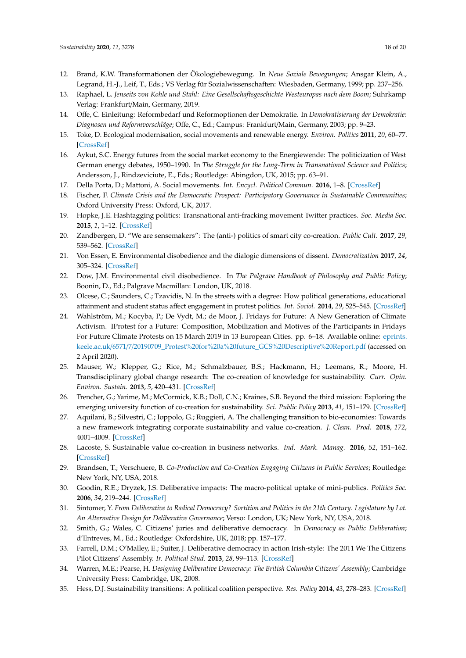- <span id="page-17-0"></span>12. Brand, K.W. Transformationen der Ökologiebewegung. In *Neue Soziale Bewegungen*; Ansgar Klein, A., Legrand, H.-J., Leif, T., Eds.; VS Verlag für Sozialwissenschaften: Wiesbaden, Germany, 1999; pp. 237–256.
- <span id="page-17-1"></span>13. Raphael, L. *Jenseits von Kohle und Stahl: Eine Gesellschaftsgeschichte Westeuropas nach dem Boom*; Suhrkamp Verlag: Frankfurt/Main, Germany, 2019.
- <span id="page-17-2"></span>14. Offe, C. Einleitung: Reformbedarf und Reformoptionen der Demokratie. In *Demokratisierung der Demokratie: Diagnosen und Reformvorschläge*; Offe, C., Ed.; Campus: Frankfurt/Main, Germany, 2003; pp. 9–23.
- <span id="page-17-3"></span>15. Toke, D. Ecological modernisation, social movements and renewable energy. *Environ. Politics* **2011**, *20*, 60–77. [\[CrossRef\]](http://dx.doi.org/10.1080/09644016.2011.538166)
- <span id="page-17-4"></span>16. Aykut, S.C. Energy futures from the social market economy to the Energiewende: The politicization of West German energy debates, 1950–1990. In *The Struggle for the Long-Term in Transnational Science and Politics*; Andersson, J., Rindzeviciute, E., Eds.; Routledge: Abingdon, UK, 2015; pp. 63–91.
- <span id="page-17-5"></span>17. Della Porta, D.; Mattoni, A. Social movements. *Int. Encycl. Political Commun.* **2016**, 1–8. [\[CrossRef\]](http://dx.doi.org/10.1002/9781118541555.wbiepc010)
- <span id="page-17-6"></span>18. Fischer, F. *Climate Crisis and the Democratic Prospect: Participatory Governance in Sustainable Communities*; Oxford University Press: Oxford, UK, 2017.
- <span id="page-17-7"></span>19. Hopke, J.E. Hashtagging politics: Transnational anti-fracking movement Twitter practices. *Soc. Media Soc.* **2015**, *1*, 1–12. [\[CrossRef\]](http://dx.doi.org/10.1177/2056305115605521)
- <span id="page-17-8"></span>20. Zandbergen, D. "We are sensemakers": The (anti-) politics of smart city co-creation. *Public Cult.* **2017**, *29*, 539–562. [\[CrossRef\]](http://dx.doi.org/10.1215/08992363-3869596)
- <span id="page-17-9"></span>21. Von Essen, E. Environmental disobedience and the dialogic dimensions of dissent. *Democratization* **2017**, *24*, 305–324. [\[CrossRef\]](http://dx.doi.org/10.1080/13510347.2016.1185416)
- <span id="page-17-10"></span>22. Dow, J.M. Environmental civil disobedience. In *The Palgrave Handbook of Philosophy and Public Policy*; Boonin, D., Ed.; Palgrave Macmillan: London, UK, 2018.
- <span id="page-17-11"></span>23. Olcese, C.; Saunders, C.; Tzavidis, N. In the streets with a degree: How political generations, educational attainment and student status affect engagement in protest politics. *Int. Sociol.* **2014**, *29*, 525–545. [\[CrossRef\]](http://dx.doi.org/10.1177/0268580914551305)
- <span id="page-17-12"></span>24. Wahlström, M.; Kocyba, P.; De Vydt, M.; de Moor, J. Fridays for Future: A New Generation of Climate Activism. IProtest for a Future: Composition, Mobilization and Motives of the Participants in Fridays For Future Climate Protests on 15 March 2019 in 13 European Cities. pp. 6–18. Available online: [eprints.](eprints.keele.ac.uk/6571/7/20190709_Protest%20for%20a%20future_GCS%20Descriptive%20Report.pdf) keele.ac.uk/6571/7/[20190709\\_Protest%20for%20a%20future\\_GCS%20Descriptive%20Report.pdf](eprints.keele.ac.uk/6571/7/20190709_Protest%20for%20a%20future_GCS%20Descriptive%20Report.pdf) (accessed on 2 April 2020).
- <span id="page-17-13"></span>25. Mauser, W.; Klepper, G.; Rice, M.; Schmalzbauer, B.S.; Hackmann, H.; Leemans, R.; Moore, H. Transdisciplinary global change research: The co-creation of knowledge for sustainability. *Curr. Opin. Environ. Sustain.* **2013**, *5*, 420–431. [\[CrossRef\]](http://dx.doi.org/10.1016/j.cosust.2013.07.001)
- <span id="page-17-14"></span>26. Trencher, G.; Yarime, M.; McCormick, K.B.; Doll, C.N.; Kraines, S.B. Beyond the third mission: Exploring the emerging university function of co-creation for sustainability. *Sci. Public Policy* **2013**, *41*, 151–179. [\[CrossRef\]](http://dx.doi.org/10.1093/scipol/sct044)
- <span id="page-17-15"></span>27. Aquilani, B.; Silvestri, C.; Ioppolo, G.; Ruggieri, A. The challenging transition to bio-economies: Towards a new framework integrating corporate sustainability and value co-creation. *J. Clean. Prod.* **2018**, *172*, 4001–4009. [\[CrossRef\]](http://dx.doi.org/10.1016/j.jclepro.2017.03.153)
- <span id="page-17-16"></span>28. Lacoste, S. Sustainable value co-creation in business networks. *Ind. Mark. Manag.* **2016**, *52*, 151–162. [\[CrossRef\]](http://dx.doi.org/10.1016/j.indmarman.2015.05.018)
- <span id="page-17-17"></span>29. Brandsen, T.; Verschuere, B. *Co-Production and Co-Creation Engaging Citizens in Public Services*; Routledge: New York, NY, USA, 2018.
- <span id="page-17-18"></span>30. Goodin, R.E.; Dryzek, J.S. Deliberative impacts: The macro-political uptake of mini-publics. *Politics Soc.* **2006**, *34*, 219–244. [\[CrossRef\]](http://dx.doi.org/10.1177/0032329206288152)
- <span id="page-17-19"></span>31. Sintomer, Y. *From Deliberative to Radical Democracy? Sortition and Politics in the 21th Century. Legislature by Lot. An Alternative Design for Deliberative Governance*; Verso: London, UK; New York, NY, USA, 2018.
- <span id="page-17-20"></span>32. Smith, G.; Wales, C. Citizens' juries and deliberative democracy. In *Democracy as Public Deliberation*; d'Entreves, M., Ed.; Routledge: Oxfordshire, UK, 2018; pp. 157–177.
- <span id="page-17-21"></span>33. Farrell, D.M.; O'Malley, E.; Suiter, J. Deliberative democracy in action Irish-style: The 2011 We The Citizens Pilot Citizens' Assembly. *Ir. Political Stud.* **2013**, *28*, 99–113. [\[CrossRef\]](http://dx.doi.org/10.1080/07907184.2012.745274)
- <span id="page-17-22"></span>34. Warren, M.E.; Pearse, H. *Designing Deliberative Democracy: The British Columbia Citizens' Assembly*; Cambridge University Press: Cambridge, UK, 2008.
- <span id="page-17-23"></span>35. Hess, D.J. Sustainability transitions: A political coalition perspective. *Res. Policy* **2014**, *43*, 278–283. [\[CrossRef\]](http://dx.doi.org/10.1016/j.respol.2013.10.008)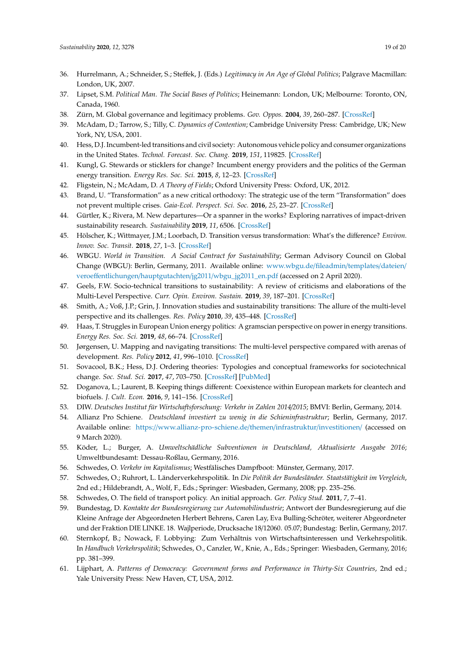- <span id="page-18-0"></span>36. Hurrelmann, A.; Schneider, S.; Steffek, J. (Eds.) *Legitimacy in An Age of Global Politics*; Palgrave Macmillan: London, UK, 2007.
- <span id="page-18-1"></span>37. Lipset, S.M. *Political Man. The Social Bases of Politics*; Heinemann: London, UK; Melbourne: Toronto, ON, Canada, 1960.
- <span id="page-18-2"></span>38. Zürn, M. Global governance and legitimacy problems. *Gov. Oppos.* **2004**, *39*, 260–287. [\[CrossRef\]](http://dx.doi.org/10.1111/j.1477-7053.2004.00123.x)
- <span id="page-18-3"></span>39. McAdam, D.; Tarrow, S.; Tilly, C. *Dynamics of Contention*; Cambridge University Press: Cambridge, UK; New York, NY, USA, 2001.
- <span id="page-18-5"></span>40. Hess, D.J. Incumbent-led transitions and civil society: Autonomous vehicle policy and consumer organizations in the United States. *Technol. Forecast. Soc. Chang.* **2019**, *151*, 119825. [\[CrossRef\]](http://dx.doi.org/10.1016/j.techfore.2019.119825)
- <span id="page-18-4"></span>41. Kungl, G. Stewards or sticklers for change? Incumbent energy providers and the politics of the German energy transition. *Energy Res. Soc. Sci.* **2015**, *8*, 12–23. [\[CrossRef\]](http://dx.doi.org/10.1016/j.erss.2015.04.009)
- <span id="page-18-6"></span>42. Fligstein, N.; McAdam, D. *A Theory of Fields*; Oxford University Press: Oxford, UK, 2012.
- <span id="page-18-7"></span>43. Brand, U. "Transformation" as a new critical orthodoxy: The strategic use of the term "Transformation" does not prevent multiple crises. *Gaia-Ecol. Perspect. Sci. Soc.* **2016**, *25*, 23–27. [\[CrossRef\]](http://dx.doi.org/10.14512/gaia.25.1.7)
- 44. Gürtler, K.; Rivera, M. New departures—Or a spanner in the works? Exploring narratives of impact-driven sustainability research. *Sustainability* **2019**, *11*, 6506. [\[CrossRef\]](http://dx.doi.org/10.3390/su11226506)
- 45. Hölscher, K.; Wittmayer, J.M.; Loorbach, D. Transition versus transformation: What's the difference? *Environ. Innov. Soc. Transit.* **2018**, *27*, 1–3. [\[CrossRef\]](http://dx.doi.org/10.1016/j.eist.2017.10.007)
- <span id="page-18-8"></span>46. WBGU. *World in Transition. A Social Contract for Sustainability*; German Advisory Council on Global Change (WBGU): Berlin, Germany, 2011. Available online: [www.wbgu.de](www.wbgu.de/fileadmin/templates/dateien/veroeffentlichungen/hauptgutachten/jg2011/wbgu_jg2011_en.pdf)/fileadmin/templates/dateien/ veroeffentlichungen/hauptgutachten/jg2011/[wbgu\\_jg2011\\_en.pdf](www.wbgu.de/fileadmin/templates/dateien/veroeffentlichungen/hauptgutachten/jg2011/wbgu_jg2011_en.pdf) (accessed on 2 April 2020).
- <span id="page-18-9"></span>47. Geels, F.W. Socio-technical transitions to sustainability: A review of criticisms and elaborations of the Multi-Level Perspective. *Curr. Opin. Environ. Sustain.* **2019**, *39*, 187–201. [\[CrossRef\]](http://dx.doi.org/10.1016/j.cosust.2019.06.009)
- <span id="page-18-10"></span>48. Smith, A.; Voß, J.P.; Grin, J. Innovation studies and sustainability transitions: The allure of the multi-level perspective and its challenges. *Res. Policy* **2010**, *39*, 435–448. [\[CrossRef\]](http://dx.doi.org/10.1016/j.respol.2010.01.023)
- <span id="page-18-11"></span>49. Haas, T. Struggles in European Union energy politics: A gramscian perspective on power in energy transitions. *Energy Res. Soc. Sci.* **2019**, *48*, 66–74. [\[CrossRef\]](http://dx.doi.org/10.1016/j.erss.2018.09.011)
- <span id="page-18-12"></span>50. Jørgensen, U. Mapping and navigating transitions: The multi-level perspective compared with arenas of development. *Res. Policy* **2012**, *41*, 996–1010. [\[CrossRef\]](http://dx.doi.org/10.1016/j.respol.2012.03.001)
- <span id="page-18-13"></span>51. Sovacool, B.K.; Hess, D.J. Ordering theories: Typologies and conceptual frameworks for sociotechnical change. *Soc. Stud. Sci.* **2017**, *47*, 703–750. [\[CrossRef\]](http://dx.doi.org/10.1177/0306312717709363) [\[PubMed\]](http://www.ncbi.nlm.nih.gov/pubmed/28641502)
- <span id="page-18-14"></span>52. Doganova, L.; Laurent, B. Keeping things different: Coexistence within European markets for cleantech and biofuels. *J. Cult. Econ.* **2016**, *9*, 141–156. [\[CrossRef\]](http://dx.doi.org/10.1080/17530350.2015.1110530)
- <span id="page-18-15"></span>53. DIW. *Deutsches Institut für Wirtschaftsforschung: Verkehr in Zahlen 2014*/*2015*; BMVI: Berlin, Germany, 2014.
- <span id="page-18-16"></span>54. Allianz Pro Schiene. *Deutschland investiert zu wenig in die Schieninfrastruktur*; Berlin, Germany, 2017. Available online: https://[www.allianz-pro-schiene.de](https://www.allianz-pro-schiene.de/themen/infrastruktur/investitionen/)/themen/infrastruktur/investitionen/ (accessed on 9 March 2020).
- <span id="page-18-17"></span>55. Köder, L.; Burger, A. *Umweltschädliche Subventionen in Deutschland, Aktualisierte Ausgabe 2016*; Umweltbundesamt: Dessau-Roßlau, Germany, 2016.
- <span id="page-18-18"></span>56. Schwedes, O. *Verkehr im Kapitalismus*; Westfälisches Dampfboot: Münster, Germany, 2017.
- <span id="page-18-19"></span>57. Schwedes, O.; Ruhrort, L. Länderverkehrspolitik. In *Die Politik der Bundesländer. Staatstätigkeit im Vergleich*, 2nd ed.; Hildebrandt, A., Wolf, F., Eds.; Springer: Wiesbaden, Germany, 2008; pp. 235–256.
- <span id="page-18-20"></span>58. Schwedes, O. The field of transport policy. An initial approach. *Ger. Policy Stud.* **2011**, *7*, 7–41.
- <span id="page-18-21"></span>59. Bundestag, D. *Kontakte der Bundesregierung zur Automobilindustrie*; Antwort der Bundesregierung auf die Kleine Anfrage der Abgeordneten Herbert Behrens, Caren Lay, Eva Bulling-Schröter, weiterer Abgeordneter und der Fraktion DIE LINKE. 18. Wajlperiode, Drucksache 18/12060. 05.07; Bundestag: Berlin, Germany, 2017.
- <span id="page-18-22"></span>60. Sternkopf, B.; Nowack, F. Lobbying: Zum Verhältnis von Wirtschaftsinteressen und Verkehrspolitik. In *Handbuch Verkehrspolitik*; Schwedes, O., Canzler, W., Knie, A., Eds.; Springer: Wiesbaden, Germany, 2016; pp. 381–399.
- <span id="page-18-23"></span>61. Lijphart, A. *Patterns of Democracy: Government forms and Performance in Thirty-Six Countries*, 2nd ed.; Yale University Press: New Haven, CT, USA, 2012.